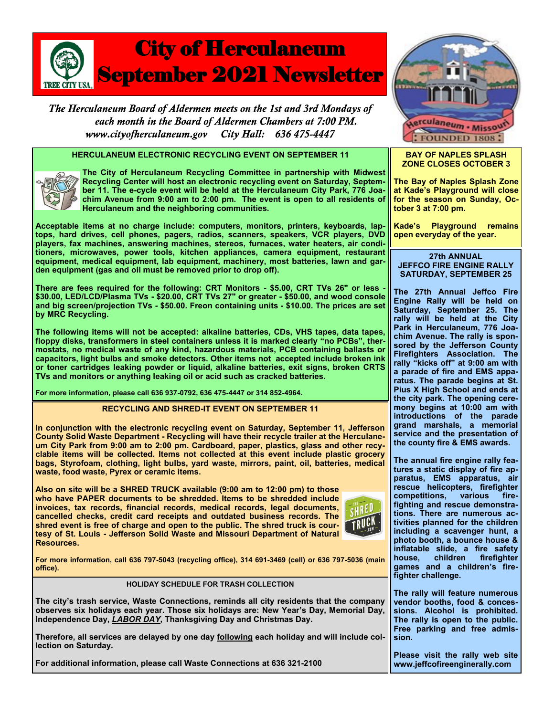

The Herculaneum Board of Aldermen meets on the 1st and 3rd Mondays of each month in the Board of Aldermen Chambers at 7:00 PM. www.cityofherculaneum.gov City Hall: 636 475-4447

# **HERCULANEUM ELECTRONIC RECYCLING EVENT ON SEPTEMBER 11**



**The City of Herculaneum Recycling Committee in partnership with Midwest Recycling Center will host an electronic recycling event on Saturday, September 11. The e-cycle event will be held at the Herculaneum City Park, 776 Joachim Avenue from 9:00 am to 2:00 pm. The event is open to all residents of Herculaneum and the neighboring communities.**

**Acceptable items at no charge include: computers, monitors, printers, keyboards, laptops, hard drives, cell phones, pagers, radios, scanners, speakers, VCR players, DVD players, fax machines, answering machines, stereos, furnaces, water heaters, air conditioners, microwaves, power tools, kitchen appliances, camera equipment, restaurant equipment, medical equipment, lab equipment, machinery, most batteries, lawn and garden equipment (gas and oil must be removed prior to drop off).** 

**There are fees required for the following: CRT Monitors - \$5.00, CRT TVs 26" or less - \$30.00, LED/LCD/Plasma TVs - \$20.00, CRT TVs 27" or greater - \$50.00, and wood console and big screen/projection TVs - \$50.00. Freon containing units - \$10.00. The prices are set by MRC Recycling.**

**The following items will not be accepted: alkaline batteries, CDs, VHS tapes, data tapes, floppy disks, transformers in steel containers unless it is marked clearly "no PCBs", thermostats, no medical waste of any kind, hazardous materials, PCB containing ballasts or capacitors, light bulbs and smoke detectors. Other items not accepted include broken ink or toner cartridges leaking powder or liquid, alkaline batteries, exit signs, broken CRTS TVs and monitors or anything leaking oil or acid such as cracked batteries.**

**For more information, please call 636 937-0792, 636 475-4447 or 314 852-4964.**

#### **RECYCLING AND SHRED-IT EVENT ON SEPTEMBER 11**

**In conjunction with the electronic recycling event on Saturday, September 11, Jefferson County Solid Waste Department - Recycling will have their recycle trailer at the Herculaneum City Park from 9:00 am to 2:00 pm. Cardboard, paper, plastics, glass and other recyclable items will be collected. Items not collected at this event include plastic grocery bags, Styrofoam, clothing, light bulbs, yard waste, mirrors, paint, oil, batteries, medical waste, food waste, Pyrex or ceramic items.**

**Also on site will be a SHRED TRUCK available (9:00 am to 12:00 pm) to those who have PAPER documents to be shredded. Items to be shredded include invoices, tax records, financial records, medical records, legal documents, cancelled checks, credit card receipts and outdated business records. The shred event is free of charge and open to the public. The shred truck is courtesy of St. Louis - Jefferson Solid Waste and Missouri Department of Natural Resources.**



**For more information, call 636 797-5043 (recycling office), 314 691-3469 (cell) or 636 797-5036 (main office).**

### **HOLIDAY SCHEDULE FOR TRASH COLLECTION**

**The city's trash service, Waste Connections, reminds all city residents that the company observes six holidays each year. Those six holidays are: New Year's Day, Memorial Day, Independence Day,** *LABOR DAY***, Thanksgiving Day and Christmas Day.**

**Therefore, all services are delayed by one day following each holiday and will include collection on Saturday.**

**For additional information, please call Waste Connections at 636 321-2100**



#### **BAY OF NAPLES SPLASH ZONE CLOSES OCTOBER 3**

**The Bay of Naples Splash Zone at Kade's Playground will close for the season on Sunday, October 3 at 7:00 pm.**

**Kade's Playground remains open everyday of the year.**

#### **27th ANNUAL JEFFCO FIRE ENGINE RALLY SATURDAY, SEPTEMBER 25**

**The 27th Annual Jeffco Fire Engine Rally will be held on Saturday, September 25. The rally will be held at the City Park in Herculaneum, 776 Joachim Avenue. The rally is sponsored by the Jefferson County Firefighters Association. The rally "kicks off" at 9:00 am with a parade of fire and EMS apparatus. The parade begins at St. Pius X High School and ends at the city park. The opening ceremony begins at 10:00 am with introductions of the parade grand marshals, a memorial service and the presentation of the county fire & EMS awards.**

**The annual fire engine rally features a static display of fire apparatus, EMS apparatus, air rescue helicopters, firefighter competitions, various firefighting and rescue demonstrations. There are numerous activities planned for the children including a scavenger hunt, a photo booth, a bounce house & inflatable slide, a fire safety house, children firefighter games and a children's firefighter challenge.** 

**The rally will feature numerous vendor booths, food & concessions. Alcohol is prohibited. The rally is open to the public. Free parking and free admission.** 

**Please visit the rally web site www.jeffcofireenginerally.com**